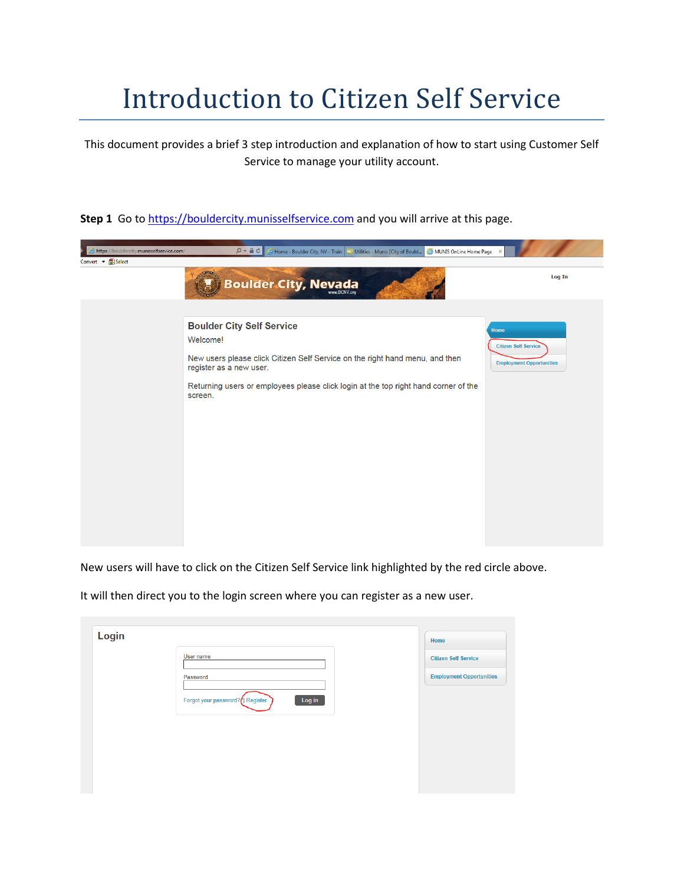## Introduction to Citizen Self Service

This document provides a brief 3 step introduction and explanation of how to start using Customer Self Service to manage your utility account.

## **Step 1** Go t[o https://bouldercity.munisselfservice.com](https://bouldercity.munisselfservice.com/) and you will arrive at this page.



New users will have to click on the Citizen Self Service link highlighted by the red circle above.

It will then direct you to the login screen where you can register as a new user.

| Login |                                            | Home                            |
|-------|--------------------------------------------|---------------------------------|
|       | User name                                  | <b>Citizen Self Service</b>     |
|       | Password                                   | <b>Employment Opportunities</b> |
|       | Log in<br>Forgot your password?   Register |                                 |
|       |                                            |                                 |
|       |                                            |                                 |
|       |                                            |                                 |
|       |                                            |                                 |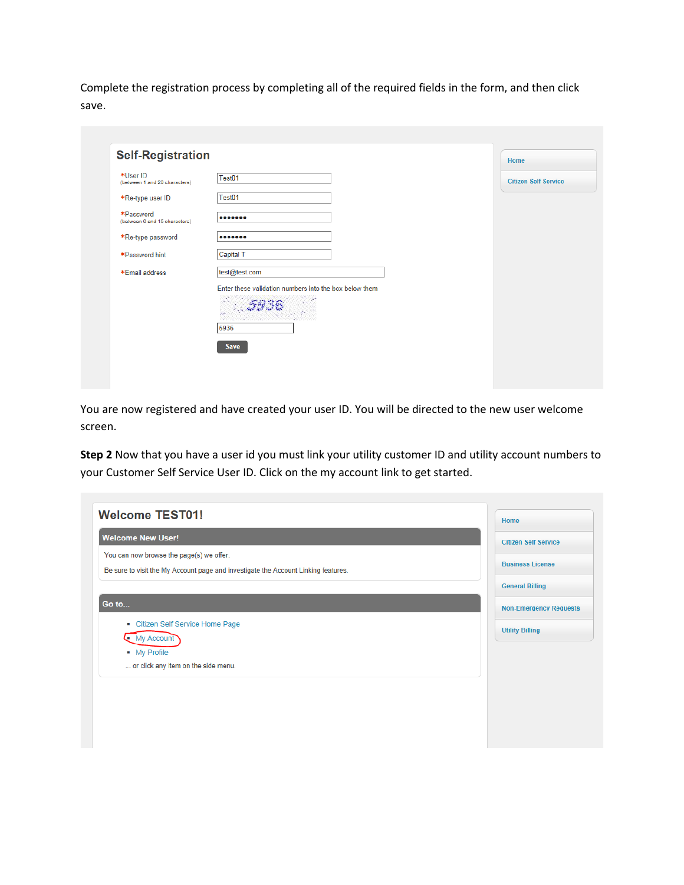Complete the registration process by completing all of the required fields in the form, and then click save.

| *User ID                                   | Test01                                                 |                             |
|--------------------------------------------|--------------------------------------------------------|-----------------------------|
| (between 1 and 20 characters)              |                                                        | <b>Citizen Self Service</b> |
| *Re-type user ID                           | Test01                                                 |                             |
| *Password<br>(between 6 and 15 characters) |                                                        |                             |
| *Re-type password                          |                                                        |                             |
| *Password hint                             | Capital T                                              |                             |
| *Email address                             | test@test.com                                          |                             |
|                                            | Enter these validation numbers into the box below them |                             |
|                                            | Sec.                                                   |                             |
|                                            | 5936                                                   |                             |
|                                            | <b>Save</b>                                            |                             |

You are now registered and have created your user ID. You will be directed to the new user welcome screen.

**Step 2** Now that you have a user id you must link your utility customer ID and utility account numbers to your Customer Self Service User ID. Click on the my account link to get started.

| <b>Welcome TEST01!</b>                                                             | Home                          |
|------------------------------------------------------------------------------------|-------------------------------|
| <b>Welcome New User!</b>                                                           | <b>Citizen Self Service</b>   |
| You can now browse the page(s) we offer.                                           |                               |
| Be sure to visit the My Account page and investigate the Account Linking features. | <b>Business License</b>       |
|                                                                                    | <b>General Billing</b>        |
| Go to                                                                              | <b>Non-Emergency Requests</b> |
| • Citizen Self Service Home Page                                                   |                               |
| $\bullet$ My Account                                                               | <b>Utility Billing</b>        |
| • My Profile                                                                       |                               |
| or click any item on the side menu.                                                |                               |
|                                                                                    |                               |
|                                                                                    |                               |
|                                                                                    |                               |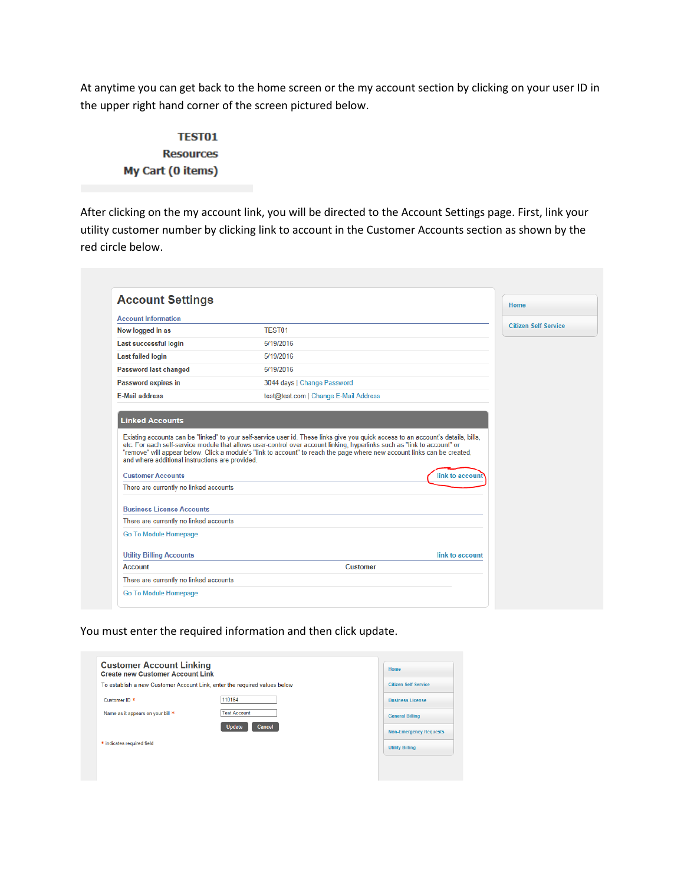At anytime you can get back to the home screen or the my account section by clicking on your user ID in the upper right hand corner of the screen pictured below.

## **TEST01 Resources** My Cart (0 items)

After clicking on the my account link, you will be directed to the Account Settings page. First, link your utility customer number by clicking link to account in the Customer Accounts section as shown by the red circle below.

| <b>Account Information</b>                                                 |                                                                                                                                                                                                                                                                                                                                                                                           |                             |
|----------------------------------------------------------------------------|-------------------------------------------------------------------------------------------------------------------------------------------------------------------------------------------------------------------------------------------------------------------------------------------------------------------------------------------------------------------------------------------|-----------------------------|
| Now logged in as                                                           | TEST <sub>01</sub>                                                                                                                                                                                                                                                                                                                                                                        | <b>Citizen Self Service</b> |
| Last successful login                                                      | 5/19/2016                                                                                                                                                                                                                                                                                                                                                                                 |                             |
| <b>Last failed login</b>                                                   | 5/19/2016                                                                                                                                                                                                                                                                                                                                                                                 |                             |
| <b>Password last changed</b>                                               | 5/19/2016                                                                                                                                                                                                                                                                                                                                                                                 |                             |
| Password expires in                                                        | 3044 days   Change Password                                                                                                                                                                                                                                                                                                                                                               |                             |
| <b>E-Mail address</b>                                                      | test@test.com   Change E-Mail Address                                                                                                                                                                                                                                                                                                                                                     |                             |
| <b>Linked Accounts</b><br>and where additional instructions are provided.  | Existing accounts can be "linked" to your self-service user id. These links give you quick access to an account's details, bills,<br>etc. For each self-service module that allows user-control over account linking, hyperlinks such as "link to account" or<br>"remove" will appear below. Click a module's "link to account" to reach the page where new account links can be created, |                             |
| <b>Customer Accounts</b>                                                   | link to account                                                                                                                                                                                                                                                                                                                                                                           |                             |
| There are currently no linked accounts<br><b>Business License Accounts</b> |                                                                                                                                                                                                                                                                                                                                                                                           |                             |
| There are currently no linked accounts                                     |                                                                                                                                                                                                                                                                                                                                                                                           |                             |
| Go To Module Homepage                                                      |                                                                                                                                                                                                                                                                                                                                                                                           |                             |
| <b>Utility Billing Accounts</b>                                            | link to account                                                                                                                                                                                                                                                                                                                                                                           |                             |

You must enter the required information and then click update.

| <b>Customer Account Linking</b><br><b>Create new Customer Account Link</b> |                                                                           | Home                          |
|----------------------------------------------------------------------------|---------------------------------------------------------------------------|-------------------------------|
|                                                                            | To establish a new Customer Account Link, enter the required values below | <b>Citizen Self Service</b>   |
| Customer ID <sup>*</sup>                                                   | 110164                                                                    | <b>Business License</b>       |
| Name as it appears on your bill *                                          | <b>Test Account</b>                                                       | <b>General Billing</b>        |
|                                                                            | <b>Update</b><br>Cancel                                                   | <b>Non-Emergency Requests</b> |
| * indicates required field                                                 |                                                                           | <b>Utility Billing</b>        |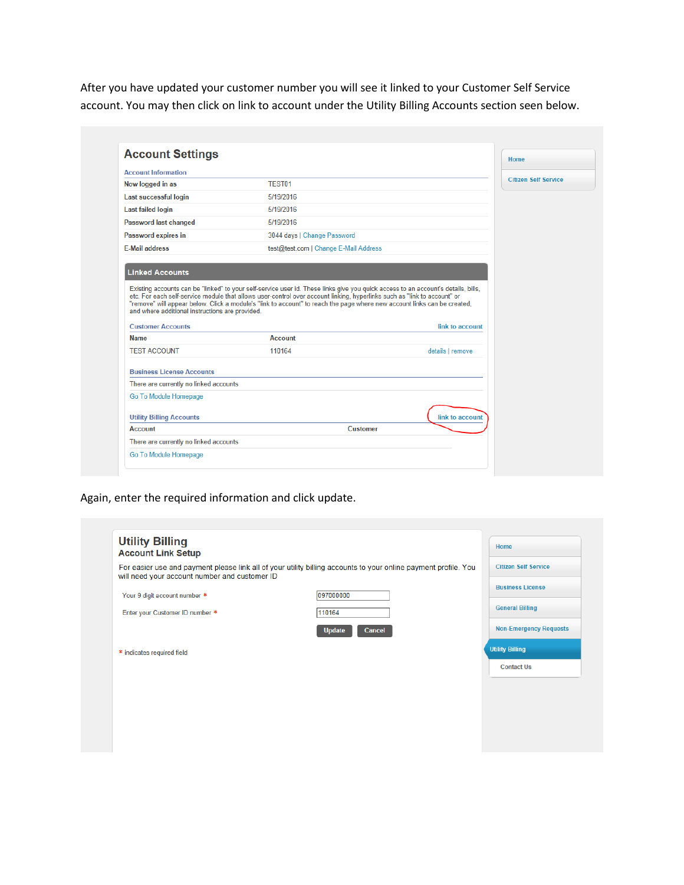After you have updated your customer number you will see it linked to your Customer Self Service account. You may then click on link to account under the Utility Billing Accounts section seen below.

| <b>Account Settings</b>                                                                               |                                                                                                                                                                                                                                                                                                                                                                                           |                  | Home                        |
|-------------------------------------------------------------------------------------------------------|-------------------------------------------------------------------------------------------------------------------------------------------------------------------------------------------------------------------------------------------------------------------------------------------------------------------------------------------------------------------------------------------|------------------|-----------------------------|
| <b>Account Information</b>                                                                            |                                                                                                                                                                                                                                                                                                                                                                                           |                  | <b>Citizen Self Service</b> |
| Now logged in as                                                                                      | TEST01                                                                                                                                                                                                                                                                                                                                                                                    |                  |                             |
| Last successful login                                                                                 | 5/19/2016                                                                                                                                                                                                                                                                                                                                                                                 |                  |                             |
| <b>Last failed login</b>                                                                              | 5/19/2016                                                                                                                                                                                                                                                                                                                                                                                 |                  |                             |
| <b>Password last changed</b>                                                                          | 5/19/2016                                                                                                                                                                                                                                                                                                                                                                                 |                  |                             |
| Password expires in                                                                                   | 3044 days   Change Password                                                                                                                                                                                                                                                                                                                                                               |                  |                             |
| <b>E-Mail address</b>                                                                                 | test@test.com   Change E-Mail Address                                                                                                                                                                                                                                                                                                                                                     |                  |                             |
| <b>Linked Accounts</b><br>and where additional instructions are provided.<br><b>Customer Accounts</b> | Existing accounts can be "linked" to your self-service user id. These links give you quick access to an account's details, bills,<br>etc. For each self-service module that allows user-control over account linking, hyperlinks such as "link to account" or<br>"remove" will appear below. Click a module's "link to account" to reach the page where new account links can be created, | link to account  |                             |
| <b>Name</b>                                                                                           | <b>Account</b>                                                                                                                                                                                                                                                                                                                                                                            |                  |                             |
| <b>TEST ACCOUNT</b>                                                                                   | 110164                                                                                                                                                                                                                                                                                                                                                                                    | details   remove |                             |
| <b>Business License Accounts</b>                                                                      |                                                                                                                                                                                                                                                                                                                                                                                           |                  |                             |
| There are currently no linked accounts                                                                |                                                                                                                                                                                                                                                                                                                                                                                           |                  |                             |
| Go To Module Homepage                                                                                 |                                                                                                                                                                                                                                                                                                                                                                                           |                  |                             |
| <b>Utility Billing Accounts</b>                                                                       |                                                                                                                                                                                                                                                                                                                                                                                           | link to account  |                             |
| <b>Account</b>                                                                                        | <b>Customer</b>                                                                                                                                                                                                                                                                                                                                                                           |                  |                             |

Again, enter the required information and click update.

| <b>Utility Billing</b><br><b>Account Link Setup</b> |                                                                                                                 | Home                          |
|-----------------------------------------------------|-----------------------------------------------------------------------------------------------------------------|-------------------------------|
| will need your account number and customer ID       | For easier use and payment please link all of your utility billing accounts to your online payment profile. You | <b>Citizen Self Service</b>   |
| Your 9 digit account number *                       | 097000000                                                                                                       | <b>Business License</b>       |
| Enter your Customer ID number *                     | 110164                                                                                                          | <b>General Billing</b>        |
|                                                     | <b>Update</b><br><b>Cancel</b>                                                                                  | <b>Non-Emergency Requests</b> |
| * indicates required field                          |                                                                                                                 | <b>Utility Billing</b>        |
|                                                     |                                                                                                                 | <b>Contact Us</b>             |
|                                                     |                                                                                                                 |                               |
|                                                     |                                                                                                                 |                               |
|                                                     |                                                                                                                 |                               |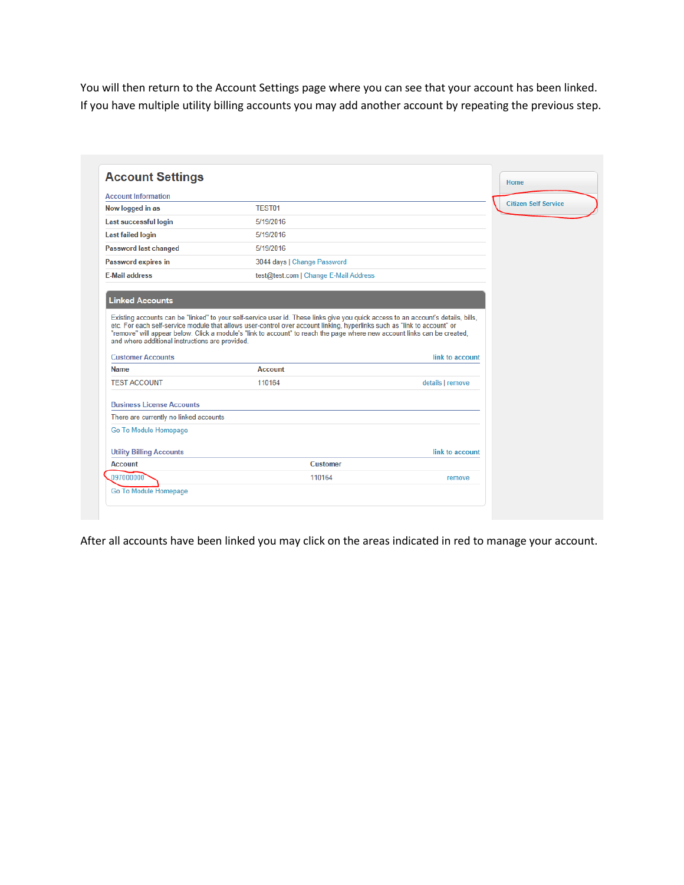You will then return to the Account Settings page where you can see that your account has been linked. If you have multiple utility billing accounts you may add another account by repeating the previous step.

| <b>Account Settings</b>                                                     |                                                                                                                                                                                                                                                               |                  | Home                        |
|-----------------------------------------------------------------------------|---------------------------------------------------------------------------------------------------------------------------------------------------------------------------------------------------------------------------------------------------------------|------------------|-----------------------------|
| <b>Account Information</b>                                                  |                                                                                                                                                                                                                                                               |                  | <b>Citizen Self Service</b> |
| Now logged in as                                                            | TEST01                                                                                                                                                                                                                                                        |                  |                             |
| Last successful login                                                       | 5/19/2016                                                                                                                                                                                                                                                     |                  |                             |
| <b>Last failed login</b>                                                    | 5/19/2016                                                                                                                                                                                                                                                     |                  |                             |
| <b>Password last changed</b>                                                | 5/19/2016                                                                                                                                                                                                                                                     |                  |                             |
| Password expires in                                                         | 3044 days   Change Password                                                                                                                                                                                                                                   |                  |                             |
| <b>E-Mail address</b>                                                       | test@test.com   Change E-Mail Address                                                                                                                                                                                                                         |                  |                             |
| <b>Linked Accounts</b>                                                      | Existing accounts can be "linked" to your self-service user id. These links give you quick access to an account's details, bills,<br>etc. For each self-service module that allows user-control over account linking, hyperlinks such as "link to account" or |                  |                             |
| and where additional instructions are provided.<br><b>Customer Accounts</b> | "remove" will appear below. Click a module's "link to account" to reach the page where new account links can be created,                                                                                                                                      | link to account  |                             |
| <b>Name</b>                                                                 | <b>Account</b>                                                                                                                                                                                                                                                |                  |                             |
| <b>TEST ACCOUNT</b>                                                         | 110164                                                                                                                                                                                                                                                        | details   remove |                             |
| <b>Business License Accounts</b>                                            |                                                                                                                                                                                                                                                               |                  |                             |
| There are currently no linked accounts                                      |                                                                                                                                                                                                                                                               |                  |                             |
| Go To Module Homepage                                                       |                                                                                                                                                                                                                                                               |                  |                             |
| <b>Utility Billing Accounts</b>                                             |                                                                                                                                                                                                                                                               | link to account  |                             |
| <b>Account</b>                                                              | <b>Customer</b>                                                                                                                                                                                                                                               |                  |                             |

After all accounts have been linked you may click on the areas indicated in red to manage your account.